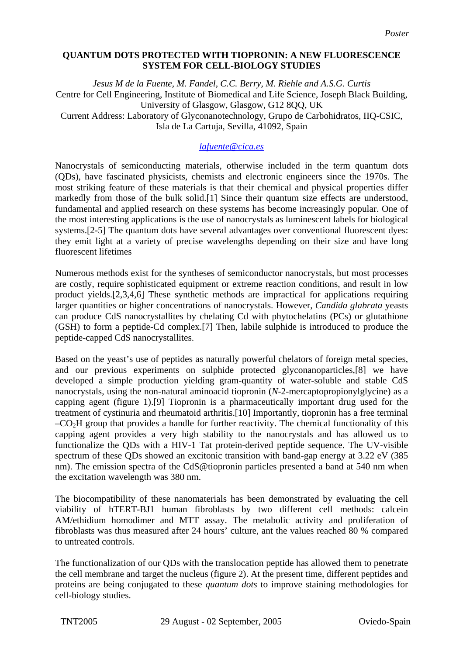## **QUANTUM DOTS PROTECTED WITH TIOPRONIN: A NEW FLUORESCENCE SYSTEM FOR CELL-BIOLOGY STUDIES**

*Jesus M de la Fuente, M. Fandel, C.C. Berry, M. Riehle and A.S.G. Curtis*  Centre for Cell Engineering, Institute of Biomedical and Life Science, Joseph Black Building, University of Glasgow, Glasgow, G12 8QQ, UK Current Address: Laboratory of Glyconanotechnology, Grupo de Carbohidratos, IIQ-CSIC, Isla de La Cartuja, Sevilla, 41092, Spain

## *[lafuente@cica.es](mailto:Contact@E-mail)*

Nanocrystals of semiconducting materials, otherwise included in the term quantum dots (QDs), have fascinated physicists, chemists and electronic engineers since the 1970s. The most striking feature of these materials is that their chemical and physical properties differ markedly from those of the bulk solid.[1] Since their quantum size effects are understood, fundamental and applied research on these systems has become increasingly popular. One of the most interesting applications is the use of nanocrystals as luminescent labels for biological systems.[2-5] The quantum dots have several advantages over conventional fluorescent dyes: they emit light at a variety of precise wavelengths depending on their size and have long fluorescent lifetimes

Numerous methods exist for the syntheses of semiconductor nanocrystals, but most processes are costly, require sophisticated equipment or extreme reaction conditions, and result in low product yields.[2,3,4,6] These synthetic methods are impractical for applications requiring larger quantities or higher concentrations of nanocrystals. However, *Candida glabrata* yeasts can produce CdS nanocrystallites by chelating Cd with phytochelatins (PCs) or glutathione (GSH) to form a peptide-Cd complex.[7] Then, labile sulphide is introduced to produce the peptide-capped CdS nanocrystallites.

Based on the yeast's use of peptides as naturally powerful chelators of foreign metal species, and our previous experiments on sulphide protected glyconanoparticles,[8] we have developed a simple production yielding gram-quantity of water-soluble and stable CdS nanocrystals, using the non-natural aminoacid tiopronin (*N*-2-mercaptopropionylglycine) as a capping agent (figure 1).[9] Tiopronin is a pharmaceutically important drug used for the treatment of cystinuria and rheumatoid arthritis.[10] Importantly, tiopronin has a free terminal  $-CO<sub>2</sub>H$  group that provides a handle for further reactivity. The chemical functionality of this capping agent provides a very high stability to the nanocrystals and has allowed us to functionalize the QDs with a HIV-1 Tat protein-derived peptide sequence. The UV-visible spectrum of these QDs showed an excitonic transition with band-gap energy at 3.22 eV (385 nm). The emission spectra of the CdS@tiopronin particles presented a band at 540 nm when the excitation wavelength was 380 nm.

The biocompatibility of these nanomaterials has been demonstrated by evaluating the cell viability of hTERT-BJ1 human fibroblasts by two different cell methods: calcein AM/ethidium homodimer and MTT assay. The metabolic activity and proliferation of fibroblasts was thus measured after 24 hours' culture, ant the values reached 80 % compared to untreated controls.

The functionalization of our QDs with the translocation peptide has allowed them to penetrate the cell membrane and target the nucleus (figure 2). At the present time, different peptides and proteins are being conjugated to these *quantum dots* to improve staining methodologies for cell-biology studies.